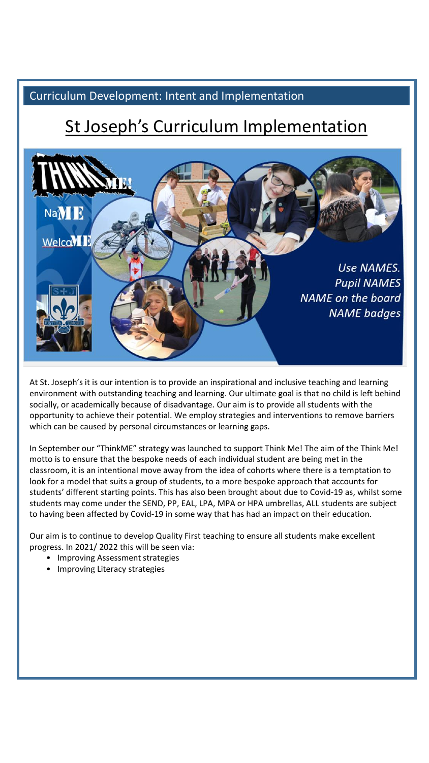## Curriculum Development: Intent and Implementation

## St Joseph's Curriculum Implementation



At St. Joseph's it is our intention is to provide an inspirational and inclusive teaching and learning environment with outstanding teaching and learning. Our ultimate goal is that no child is left behind socially, or academically because of disadvantage. Our aim is to provide all students with the opportunity to achieve their potential. We employ strategies and interventions to remove barriers which can be caused by personal circumstances or learning gaps.

In September our "ThinkME" strategy was launched to support Think Me! The aim of the Think Me! motto is to ensure that the bespoke needs of each individual student are being met in the classroom, it is an intentional move away from the idea of cohorts where there is a temptation to look for a model that suits a group of students, to a more bespoke approach that accounts for students' different starting points. This has also been brought about due to Covid-19 as, whilst some students may come under the SEND, PP, EAL, LPA, MPA or HPA umbrellas, ALL students are subject to having been affected by Covid-19 in some way that has had an impact on their education.

Our aim is to continue to develop Quality First teaching to ensure all students make excellent progress. In 2021/ 2022 this will be seen via:

- Improving Assessment strategies
- Improving Literacy strategies